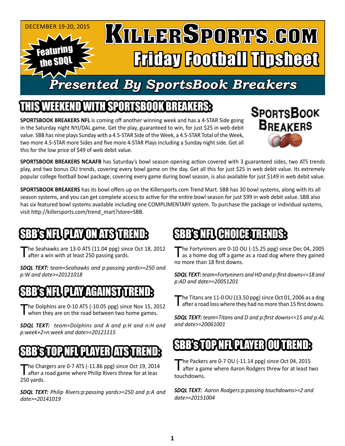#### December 19-20, 2015 KILLERSPORTS.GOM Featuring Friday Football Tipsheet the SDQL *Presented By SportsBook Breakers*

### ITEKEND WITH SPORTSBOOK BREAKER

**SPORTSBOOK BREAKERS NFL** is coming off another winning week and has a 4-STAR Side going in the Saturday night NYJ/DAL game. Get the play, guaranteed to win, for just \$25 in web debit value. SBB has nine plays Sunday with a 4.5-STAR Side of the Week, a 4.5-STAR Total of the Week, two more 4.5-STAR more Sides and five more 4-STAR Plays including a Sunday night side. Get all this for the low price of \$49 of web debit value.



**SPORTSBOOK BREAKERS NCAAFB** has Saturday's bowl season opening action covered with 3 guaranteed sides, two ATS trends play, and two bonus OU trends, covering every bowl game on the day. Get all this for just \$25 in web debit value. Its extremely popular college football bowl package, covering every game during bowl season, is also available for just \$149 in web debit value.

**SPORTSBOOK BREAKERS** has its bowl offers up on the Killersports.com Trend Mart. SBB has 30 bowl systems, along with its all season systems, and you can get complete access to active for the entire bowl season for just \$99 in web debit value. SBB also has six featured bowl systems available including one COMPLIMENTARY system. To purchase the package or individual systems, visit http://killersports.com/trend\_mart?store=SBB.

# SBBS NEL PLAY ON ATS TREND:

The Seahawks are 13-0 ATS (11.04 ppg) since Oct 18, 2012 **d** after a win with at least 250 passing yards.

*SDQL TEXT: team=Seahawks and p:passing yards>=250 and p:W and date>=20121018*

# SBBS NEL PLAY AGAINST TREND

The Dolphins are 0-10 ATS (-10.05 ppg) since Nov 15, 2012 when they are on the road between two home games.

*SDQL TEXT: team=Dolphins and A and p:H and n:H and p:week+2=n:week and date>=20121115*

# SBBSTOPNFLUPLAYEBLASTREND:

The Chargers are 0-7 ATS (-11.86 ppg) since Oct 19, 2014<br>after a road game where Philip Rivers threw for at leas 250 yards.

*SDQL TEXT: Philip Rivers:p:passing yards>=250 and p:A and date>=20141019*

### **SBB'S NEL CHOICE TRENDS:**

The Fortyniners are 0-10 OU (-15.25 ppg) since Dec 04, 2005 as a home dog off a game as a road dog where they gained no more than 18 first downs.

*SDQL TEXT: team=Fortyniners and HD and p:first downs<=18 and p:AD and date>=20051201*

The Titans are 11-0 OU (13.50 ppg) since Oct 01, 2006 as a dog **I** after a road loss where they had no more than 15 first downs.

*SDQL TEXT: team=Titans and D and p:first downs<=15 and p:AL and date>=20061001*

# SBB's STOP NE

The Packers are 0-7 OU (-11.14 ppg) since Oct 04, 2015<br>after a game where Aaron Rodgers threw for at least two touchdowns.

*SDQL TEXT: Aaron Rodgers:p:passing touchdowns>=2 and date>=20151004*